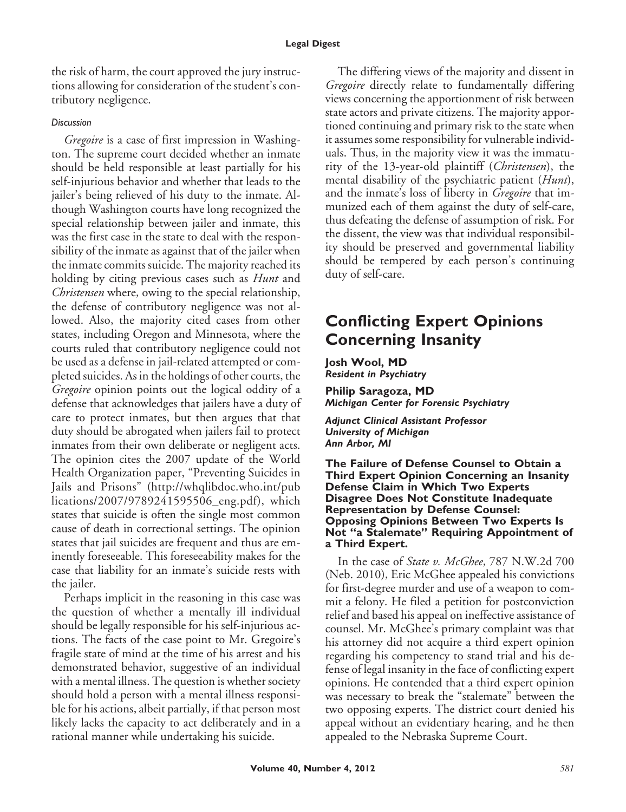the risk of harm, the court approved the jury instructions allowing for consideration of the student's contributory negligence.

#### *Discussion*

*Gregoire* is a case of first impression in Washington. The supreme court decided whether an inmate should be held responsible at least partially for his self-injurious behavior and whether that leads to the jailer's being relieved of his duty to the inmate. Although Washington courts have long recognized the special relationship between jailer and inmate, this was the first case in the state to deal with the responsibility of the inmate as against that of the jailer when the inmate commits suicide. The majority reached its holding by citing previous cases such as *Hunt* and *Christensen* where, owing to the special relationship, the defense of contributory negligence was not allowed. Also, the majority cited cases from other states, including Oregon and Minnesota, where the courts ruled that contributory negligence could not be used as a defense in jail-related attempted or completed suicides. As in the holdings of other courts, the *Gregoire* opinion points out the logical oddity of a defense that acknowledges that jailers have a duty of care to protect inmates, but then argues that that duty should be abrogated when jailers fail to protect inmates from their own deliberate or negligent acts. The opinion cites the 2007 update of the World Health Organization paper, "Preventing Suicides in Jails and Prisons" (http://whqlibdoc.who.int/pub lications/2007/9789241595506\_eng.pdf), which states that suicide is often the single most common cause of death in correctional settings. The opinion states that jail suicides are frequent and thus are eminently foreseeable. This foreseeability makes for the case that liability for an inmate's suicide rests with the jailer.

Perhaps implicit in the reasoning in this case was the question of whether a mentally ill individual should be legally responsible for his self-injurious actions. The facts of the case point to Mr. Gregoire's fragile state of mind at the time of his arrest and his demonstrated behavior, suggestive of an individual with a mental illness. The question is whether society should hold a person with a mental illness responsible for his actions, albeit partially, if that person most likely lacks the capacity to act deliberately and in a rational manner while undertaking his suicide.

The differing views of the majority and dissent in *Gregoire* directly relate to fundamentally differing views concerning the apportionment of risk between state actors and private citizens. The majority apportioned continuing and primary risk to the state when it assumes some responsibility for vulnerable individuals. Thus, in the majority view it was the immaturity of the 13-year-old plaintiff (*Christensen*), the mental disability of the psychiatric patient (*Hunt*), and the inmate's loss of liberty in *Gregoire* that immunized each of them against the duty of self-care, thus defeating the defense of assumption of risk. For the dissent, the view was that individual responsibility should be preserved and governmental liability should be tempered by each person's continuing duty of self-care.

# **Conflicting Expert Opinions Concerning Insanity**

**Josh Wool, MD** *Resident in Psychiatry*

**Philip Saragoza, MD** *Michigan Center for Forensic Psychiatry*

*Adjunct Clinical Assistant Professor University of Michigan Ann Arbor, MI*

**The Failure of Defense Counsel to Obtain a Third Expert Opinion Concerning an Insanity Defense Claim in Which Two Experts Disagree Does Not Constitute Inadequate Representation by Defense Counsel: Opposing Opinions Between Two Experts Is Not "a Stalemate" Requiring Appointment of a Third Expert.**

In the case of *State v. McGhee*, 787 N.W.2d 700 (Neb. 2010), Eric McGhee appealed his convictions for first-degree murder and use of a weapon to commit a felony. He filed a petition for postconviction relief and based his appeal on ineffective assistance of counsel. Mr. McGhee's primary complaint was that his attorney did not acquire a third expert opinion regarding his competency to stand trial and his defense of legal insanity in the face of conflicting expert opinions. He contended that a third expert opinion was necessary to break the "stalemate" between the two opposing experts. The district court denied his appeal without an evidentiary hearing, and he then appealed to the Nebraska Supreme Court.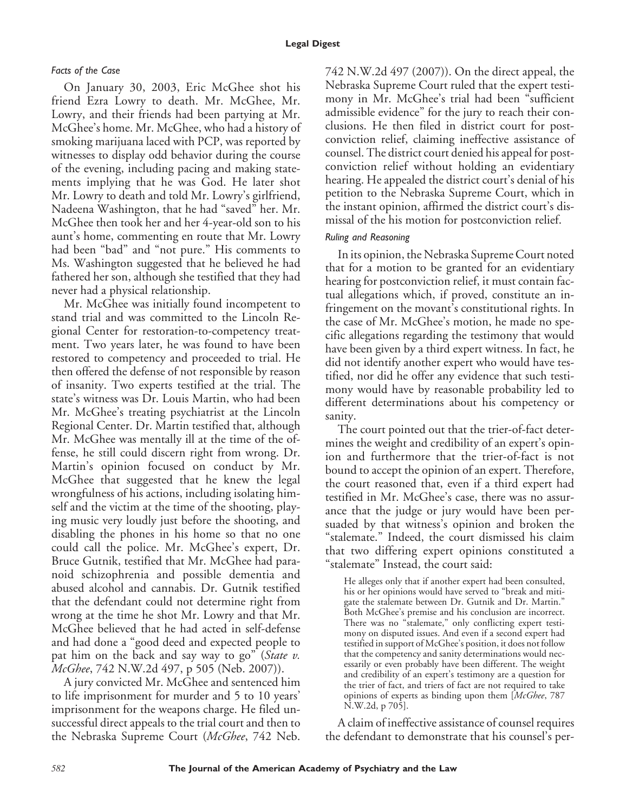## *Facts of the Case*

On January 30, 2003, Eric McGhee shot his friend Ezra Lowry to death. Mr. McGhee, Mr. Lowry, and their friends had been partying at Mr. McGhee's home. Mr. McGhee, who had a history of smoking marijuana laced with PCP, was reported by witnesses to display odd behavior during the course of the evening, including pacing and making statements implying that he was God. He later shot Mr. Lowry to death and told Mr. Lowry's girlfriend, Nadeena Washington, that he had "saved" her. Mr. McGhee then took her and her 4-year-old son to his aunt's home, commenting en route that Mr. Lowry had been "bad" and "not pure." His comments to Ms. Washington suggested that he believed he had fathered her son, although she testified that they had never had a physical relationship.

Mr. McGhee was initially found incompetent to stand trial and was committed to the Lincoln Regional Center for restoration-to-competency treatment. Two years later, he was found to have been restored to competency and proceeded to trial. He then offered the defense of not responsible by reason of insanity. Two experts testified at the trial. The state's witness was Dr. Louis Martin, who had been Mr. McGhee's treating psychiatrist at the Lincoln Regional Center. Dr. Martin testified that, although Mr. McGhee was mentally ill at the time of the offense, he still could discern right from wrong. Dr. Martin's opinion focused on conduct by Mr. McGhee that suggested that he knew the legal wrongfulness of his actions, including isolating himself and the victim at the time of the shooting, playing music very loudly just before the shooting, and disabling the phones in his home so that no one could call the police. Mr. McGhee's expert, Dr. Bruce Gutnik, testified that Mr. McGhee had paranoid schizophrenia and possible dementia and abused alcohol and cannabis. Dr. Gutnik testified that the defendant could not determine right from wrong at the time he shot Mr. Lowry and that Mr. McGhee believed that he had acted in self-defense and had done a "good deed and expected people to pat him on the back and say way to go" (*State v. McGhee*, 742 N.W.2d 497, p 505 (Neb. 2007)).

A jury convicted Mr. McGhee and sentenced him to life imprisonment for murder and 5 to 10 years' imprisonment for the weapons charge. He filed unsuccessful direct appeals to the trial court and then to the Nebraska Supreme Court (*McGhee*, 742 Neb. 742 N.W.2d 497 (2007)). On the direct appeal, the Nebraska Supreme Court ruled that the expert testimony in Mr. McGhee's trial had been "sufficient admissible evidence" for the jury to reach their conclusions. He then filed in district court for postconviction relief, claiming ineffective assistance of counsel. The district court denied his appeal for postconviction relief without holding an evidentiary hearing. He appealed the district court's denial of his petition to the Nebraska Supreme Court, which in the instant opinion, affirmed the district court's dismissal of the his motion for postconviction relief.

## *Ruling and Reasoning*

In its opinion, the Nebraska Supreme Court noted that for a motion to be granted for an evidentiary hearing for postconviction relief, it must contain factual allegations which, if proved, constitute an infringement on the movant's constitutional rights. In the case of Mr. McGhee's motion, he made no specific allegations regarding the testimony that would have been given by a third expert witness. In fact, he did not identify another expert who would have testified, nor did he offer any evidence that such testimony would have by reasonable probability led to different determinations about his competency or sanity.

The court pointed out that the trier-of-fact determines the weight and credibility of an expert's opinion and furthermore that the trier-of-fact is not bound to accept the opinion of an expert. Therefore, the court reasoned that, even if a third expert had testified in Mr. McGhee's case, there was no assurance that the judge or jury would have been persuaded by that witness's opinion and broken the "stalemate." Indeed, the court dismissed his claim that two differing expert opinions constituted a "stalemate" Instead, the court said:

He alleges only that if another expert had been consulted, his or her opinions would have served to "break and mitigate the stalemate between Dr. Gutnik and Dr. Martin." Both McGhee's premise and his conclusion are incorrect. There was no "stalemate," only conflicting expert testimony on disputed issues. And even if a second expert had testified in support of McGhee's position, it does not follow that the competency and sanity determinations would necessarily or even probably have been different. The weight and credibility of an expert's testimony are a question for the trier of fact, and triers of fact are not required to take opinions of experts as binding upon them [*McGhee*, 787 N.W.2d, p 705].

A claim of ineffective assistance of counsel requires the defendant to demonstrate that his counsel's per-